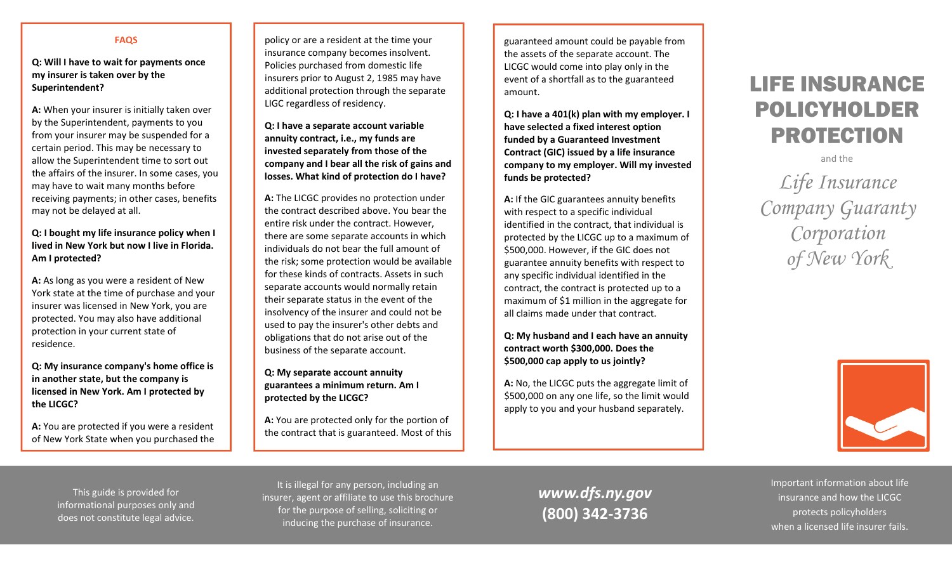## **FAQS**

**Q: Will I have to wait for payments once my insurer is taken over by the Superintendent?**

**A:** When your insurer is initially taken over by the Superintendent, payments to you from your insurer may be suspended for <sup>a</sup> certain period. This may be necessary to allow the Superintendent time to sort out the affairs of the insurer. In some cases, you may have to wait many months before receiving payments; in other cases, benefits may not be delayed at all.

# **Q: I bought my life insurance policy when I lived in New York but now I live in Florida. Am I protected?**

**A:** As long as you were <sup>a</sup> resident of New York state at the time of purchase and your insurer was licensed in New York, you are protected. You may also have additional protection in your current state of residence.

**Q: My insurance company's home office is in another state, but the company is licensed in New York. Am I protected by the LICGC?**

**A:** You are protected if you were <sup>a</sup> resident of New York State when you purchased the policy or are <sup>a</sup> resident at the time your insurance company becomes insolvent. Policies purchased from domestic life insurers prior to August 2, 1985 may have additional protection through the separate LIGC regardless of residency.

**Q: I have <sup>a</sup> separate account variable annuity contract, i.e., my funds are invested separately from those of the company and I bear all the risk of gains and losses. What kind of protection do I have?**

**A:** The LICGC provides no protection under the contract described above. You bear the entire risk under the contract. However, there are some separate accounts in which individuals do not bear the full amount of the risk; some protection would be available for these kinds of contracts. Assets in such separate accounts would normally retain their separate status in the event of the insolvency of the insurer and could not be used to pay the insurer's other debts and obligations that do not arise out of the business of the separate account.

**Q: My separate account annuity guarantees <sup>a</sup> minimum return. Am I protected by the LICGC?**

**A:** You are protected only for the portion of the contract that is guaranteed. Most of this guaranteed amount could be payable from the assets of the separate account. The LICGC would come into play only in the event of <sup>a</sup> shortfall as to the guaranteed amount.

**Q: I have <sup>a</sup> 401(k) plan with my employer. I have selected <sup>a</sup> fixed interest option funded by <sup>a</sup> Guaranteed Investment Contract (GIC) issued by <sup>a</sup> life insurance company to my employer. Will my invested funds be protected?**

**A:** If the GIC guarantees annuity benefits with respect to <sup>a</sup> specific individual identified in the contract, that individual is protected by the LICGC up to <sup>a</sup> maximum of \$500,000. However, if the GIC does not guarantee annuity benefits with respect to any specific individual identified in the contract, the contract is protected up to <sup>a</sup> maximum of \$1 million in the aggregate for all claims made under that contract.

**Q: My husband and I each have an annuity contract worth \$300,000. Does the \$500,000 cap apply to us jointly?**

**A:** No, the LICGC puts the aggregate limit of \$500,000 on any one life, so the limit would apply to you and your husband separately.

# LIFE INSURANCE POLICYHOLDER PROTECTION

and the

*Life Insurance Company Guaranty Corporation of New York* 



This guide is provided for informational purposes only and does not constitute legal advice.

It is illegal for any person, including an insurer, agent or affiliate to use this brochure for the purpose of selling, soliciting or inducing the purchase of insurance.

*www.dfs.ny.gov* **(800) 342‐3736**

Important information about life insurance and how the LICGC protects policyholders when <sup>a</sup> licensed life insurer fails.